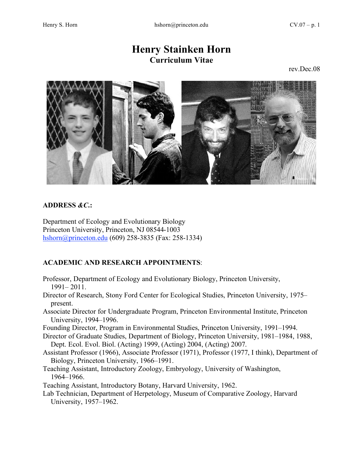# **Henry Stainken Horn Curriculum Vitae**

rev.Dec.08



# **ADDRESS** *&C***.:**

Department of Ecology and Evolutionary Biology Princeton University, Princeton, NJ 08544-1003 hshorn@princeton.edu (609) 258-3835 (Fax: 258-1334)

# **ACADEMIC AND RESEARCH APPOINTMENTS**:

- Professor, Department of Ecology and Evolutionary Biology, Princeton University, 1991– 2011.
- Director of Research, Stony Ford Center for Ecological Studies, Princeton University, 1975– present.
- Associate Director for Undergraduate Program, Princeton Environmental Institute, Princeton University, 1994–1996.
- Founding Director, Program in Environmental Studies, Princeton University, 1991–1994.
- Director of Graduate Studies, Department of Biology, Princeton University, 1981–1984, 1988, Dept. Ecol. Evol. Biol. (Acting) 1999, (Acting) 2004, (Acting) 2007.
- Assistant Professor (1966), Associate Professor (1971), Professor (1977, I think), Department of Biology, Princeton University, 1966–1991.
- Teaching Assistant, Introductory Zoology, Embryology, University of Washington, 1964–1966.
- Teaching Assistant, Introductory Botany, Harvard University, 1962.
- Lab Technician, Department of Herpetology, Museum of Comparative Zoology, Harvard University, 1957–1962.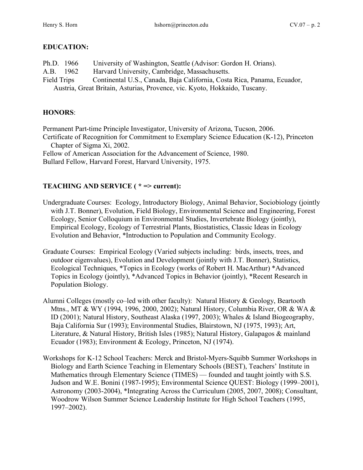# **EDUCATION:**

| Ph.D. 1966                                                                 | University of Washington, Seattle (Advisor: Gordon H. Orians).          |
|----------------------------------------------------------------------------|-------------------------------------------------------------------------|
| A.B. 1962                                                                  | Harvard University, Cambridge, Massachusetts.                           |
| Field Trips                                                                | Continental U.S., Canada, Baja California, Costa Rica, Panama, Ecuador, |
| Austria, Great Britain, Asturias, Provence, vic. Kyoto, Hokkaido, Tuscany. |                                                                         |

## **HONORS**:

Permanent Part-time Principle Investigator, University of Arizona, Tucson, 2006. Certificate of Recognition for Commitment to Exemplary Science Education (K-12), Princeton Chapter of Sigma Xi, 2002. Fellow of American Association for the Advancement of Science, 1980.

Bullard Fellow, Harvard Forest, Harvard University, 1975.

# **TEACHING AND SERVICE ( \* => current):**

- Undergraduate Courses: Ecology, Introductory Biology, Animal Behavior, Sociobiology (jointly with J.T. Bonner), Evolution, Field Biology, Environmental Science and Engineering, Forest Ecology, Senior Colloquium in Environmental Studies, Invertebrate Biology (jointly), Empirical Ecology, Ecology of Terrestrial Plants, Biostatistics, Classic Ideas in Ecology Evolution and Behavior, \*Introduction to Population and Community Ecology.
- Graduate Courses: Empirical Ecology (Varied subjects including: birds, insects, trees, and outdoor eigenvalues), Evolution and Development (jointly with J.T. Bonner), Statistics, Ecological Techniques, \*Topics in Ecology (works of Robert H. MacArthur) \*Advanced Topics in Ecology (jointly), \*Advanced Topics in Behavior (jointly), \*Recent Research in Population Biology.
- Alumni Colleges (mostly co–led with other faculty): Natural History & Geology, Beartooth Mtns., MT & WY (1994, 1996, 2000, 2002); Natural History, Columbia River, OR & WA & ID (2001); Natural History, Southeast Alaska (1997, 2003); Whales & Island Biogeography, Baja California Sur (1993); Environmental Studies, Blairstown, NJ (1975, 1993); Art, Literature, & Natural History, British Isles (1985); Natural History, Galapagos & mainland Ecuador (1983); Environment & Ecology, Princeton, NJ (1974).
- Workshops for K-12 School Teachers: Merck and Bristol-Myers-Squibb Summer Workshops in Biology and Earth Science Teaching in Elementary Schools (BEST), Teachers' Institute in Mathematics through Elementary Science (TIMES) — founded and taught jointly with S.S. Judson and W.E. Bonini (1987-1995); Environmental Science QUEST: Biology (1999–2001), Astronomy (2003-2004), \*Integrating Across the Curriculum (2005, 2007, 2008); Consultant, Woodrow Wilson Summer Science Leadership Institute for High School Teachers (1995, 1997–2002).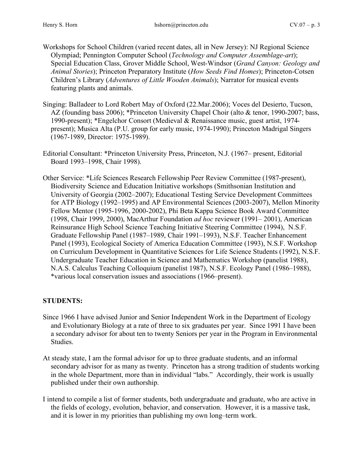- Workshops for School Children (varied recent dates, all in New Jersey): NJ Regional Science Olympiad; Pennington Computer School (*Technology and Computer Assemblage-art*); Special Education Class, Grover Middle School, West-Windsor (*Grand Canyon: Geology and Animal Stories*); Princeton Preparatory Institute (*How Seeds Find Homes*); Princeton-Cotsen Children's Library (*Adventures of Little Wooden Animals*); Narrator for musical events featuring plants and animals.
- Singing: Balladeer to Lord Robert May of Oxford (22.Mar.2006); Voces del Desierto, Tucson, AZ (founding bass 2006); \*Princeton University Chapel Choir (alto & tenor, 1990-2007; bass, 1990-present); \*Engelchor Consort (Medieval & Renaissance music, guest artist, 1974 present); Musica Alta (P.U. group for early music, 1974-1990); Princeton Madrigal Singers (1967-1989, Director: 1975-1989).
- Editorial Consultant: \*Princeton University Press, Princeton, N.J. (1967– present, Editorial Board 1993–1998, Chair 1998).
- Other Service: \*Life Sciences Research Fellowship Peer Review Committee (1987-present), Biodiversity Science and Education Initiative workshops (Smithsonian Institution and University of Georgia (2002–2007); Educational Testing Service Development Committees for ATP Biology (1992–1995) and AP Environmental Sciences (2003-2007), Mellon Minority Fellow Mentor (1995-1996, 2000-2002), Phi Beta Kappa Science Book Award Committee (1998, Chair 1999, 2000), MacArthur Foundation *ad hoc* reviewer (1991– 2001), American Reinsurance High School Science Teaching Initiative Steering Committee (1994), N.S.F. Graduate Fellowship Panel (1987–1989, Chair 1991–1993), N.S.F. Teacher Enhancement Panel (1993), Ecological Society of America Education Committee (1993), N.S.F. Workshop on Curriculum Development in Quantitative Sciences for Life Science Students (1992), N.S.F. Undergraduate Teacher Education in Science and Mathematics Workshop (panelist 1988), N.A.S. Calculus Teaching Colloquium (panelist 1987), N.S.F. Ecology Panel (1986–1988), \*various local conservation issues and associations (1966–present).

## **STUDENTS:**

- Since 1966 I have advised Junior and Senior Independent Work in the Department of Ecology and Evolutionary Biology at a rate of three to six graduates per year. Since 1991 I have been a secondary advisor for about ten to twenty Seniors per year in the Program in Environmental Studies.
- At steady state, I am the formal advisor for up to three graduate students, and an informal secondary advisor for as many as twenty. Princeton has a strong tradition of students working in the whole Department, more than in individual "labs." Accordingly, their work is usually published under their own authorship.
- I intend to compile a list of former students, both undergraduate and graduate, who are active in the fields of ecology, evolution, behavior, and conservation. However, it is a massive task, and it is lower in my priorities than publishing my own long–term work.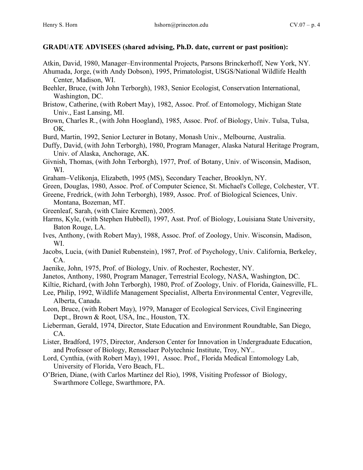## **GRADUATE ADVISEES (shared advising, Ph.D. date, current or past position):**

- Atkin, David, 1980, Manager–Environmental Projects, Parsons Brinckerhoff, New York, NY.
- Ahumada, Jorge, (with Andy Dobson), 1995, Primatologist, USGS/National Wildlife Health Center, Madison, WI.
- Beehler, Bruce, (with John Terborgh), 1983, Senior Ecologist, Conservation International, Washington, DC.
- Bristow, Catherine, (with Robert May), 1982, Assoc. Prof. of Entomology, Michigan State Univ., East Lansing, MI.
- Brown, Charles R., (with John Hoogland), 1985, Assoc. Prof. of Biology, Univ. Tulsa, Tulsa, OK.
- Burd, Martin, 1992, Senior Lecturer in Botany, Monash Univ., Melbourne, Australia.
- Duffy, David, (with John Terborgh), 1980, Program Manager, Alaska Natural Heritage Program, Univ. of Alaska, Anchorage, AK.
- Givnish, Thomas, (with John Terborgh), 1977, Prof. of Botany, Univ. of Wisconsin, Madison, WI.
- Graham–Velikonja, Elizabeth, 1995 (MS), Secondary Teacher, Brooklyn, NY.
- Green, Douglas, 1980, Assoc. Prof. of Computer Science, St. Michael's College, Colchester, VT.
- Greene, Fredrick, (with John Terborgh), 1989, Assoc. Prof. of Biological Sciences, Univ. Montana, Bozeman, MT.
- Greenleaf, Sarah, (with Claire Kremen), 2005.
- Harms, Kyle, (with Stephen Hubbell), 1997, Asst. Prof. of Biology, Louisiana State University, Baton Rouge, LA.
- Ives, Anthony, (with Robert May), 1988, Assoc. Prof. of Zoology, Univ. Wisconsin, Madison, WI.
- Jacobs, Lucia, (with Daniel Rubenstein), 1987, Prof. of Psychology, Univ. California, Berkeley, CA.
- Jaenike, John, 1975, Prof. of Biology, Univ. of Rochester, Rochester, NY.
- Janetos, Anthony, 1980, Program Manager, Terrestrial Ecology, NASA, Washington, DC.
- Kiltie, Richard, (with John Terborgh), 1980, Prof. of Zoology, Univ. of Florida, Gainesville, FL.
- Lee, Philip, 1992, Wildlife Management Specialist, Alberta Environmental Center, Vegreville, Alberta, Canada.
- Leon, Bruce, (with Robert May), 1979, Manager of Ecological Services, Civil Engineering Dept., Brown & Root, USA, Inc., Houston, TX.
- Lieberman, Gerald, 1974, Director, State Education and Environment Roundtable, San Diego, CA.
- Lister, Bradford, 1975, Director, Anderson Center for Innovation in Undergraduate Education, and Professor of Biology, Rensselaer Polytechnic Institute, Troy, NY..
- Lord, Cynthia, (with Robert May), 1991, Assoc. Prof., Florida Medical Entomology Lab, University of Florida, Vero Beach, FL.
- O'Brien, Diane, (with Carlos Martinez del Rio), 1998, Visiting Professor of Biology, Swarthmore College, Swarthmore, PA.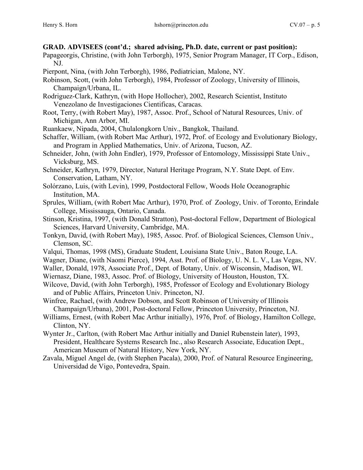#### **GRAD. ADVISEES (cont'd.; shared advising, Ph.D. date, current or past position):**

- Papageorgis, Christine, (with John Terborgh), 1975, Senior Program Manager, IT Corp., Edison, NJ.
- Pierpont, Nina, (with John Terborgh), 1986, Pediatrician, Malone, NY.
- Robinson, Scott, (with John Terborgh), 1984, Professor of Zoology, University of Illinois, Champaign/Urbana, IL.
- Rodriguez-Clark, Kathryn, (with Hope Hollocher), 2002, Research Scientist, Instituto Venezolano de Investigaciones Cientificas, Caracas.
- Root, Terry, (with Robert May), 1987, Assoc. Prof., School of Natural Resources, Univ. of Michigan, Ann Arbor, MI.
- Ruankaew, Nipada, 2004, Chulalongkorn Univ., Bangkok, Thailand.
- Schaffer, William, (with Robert Mac Arthur), 1972, Prof. of Ecology and Evolutionary Biology, and Program in Applied Mathematics, Univ. of Arizona, Tucson, AZ.
- Schneider, John, (with John Endler), 1979, Professor of Entomology, Mississippi State Univ., Vicksburg, MS.
- Schneider, Kathryn, 1979, Director, Natural Heritage Program, N.Y. State Dept. of Env. Conservation, Latham, NY.
- Solórzano, Luis, (with Levin), 1999, Postdoctoral Fellow, Woods Hole Oceanographic Institution, MA.
- Sprules, William, (with Robert Mac Arthur), 1970, Prof. of Zoology, Univ. of Toronto, Erindale College, Mississauga, Ontario, Canada.
- Stinson, Kristina, 1997, (with Donald Stratton), Post-doctoral Fellow, Department of Biological Sciences, Harvard University, Cambridge, MA.
- Tonkyn, David, (with Robert May), 1985, Assoc. Prof. of Biological Sciences, Clemson Univ., Clemson, SC.
- Valqui, Thomas, 1998 (MS), Graduate Student, Louisiana State Univ., Baton Rouge, LA.
- Wagner, Diane, (with Naomi Pierce), 1994, Asst. Prof. of Biology, U. N. L. V., Las Vegas, NV.
- Waller, Donald, 1978, Associate Prof., Dept. of Botany, Univ. of Wisconsin, Madison, WI.
- Wiernasz, Diane, 1983, Assoc. Prof. of Biology, University of Houston, Houston, TX.
- Wilcove, David, (with John Terborgh), 1985, Professor of Ecology and Evolutionary Biology and of Public Affairs, Princeton Univ. Princeton, NJ.
- Winfree, Rachael, (with Andrew Dobson, and Scott Robinson of University of Illinois Champaign/Urbana), 2001, Post-doctoral Fellow, Princeton University, Princeton, NJ.
- Williams, Ernest, (with Robert Mac Arthur initially), 1976, Prof. of Biology, Hamilton College, Clinton, NY.
- Wynter Jr., Carlton, (with Robert Mac Arthur initially and Daniel Rubenstein later), 1993, President, Healthcare Systems Research Inc., also Research Associate, Education Dept., American Museum of Natural History, New York, NY.
- Zavala, Miguel Angel de, (with Stephen Pacala), 2000, Prof. of Natural Resource Engineering, Universidad de Vigo, Pontevedra, Spain.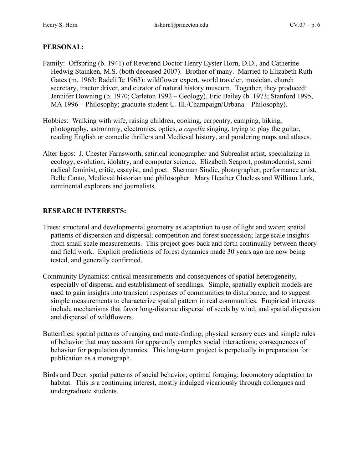## **PERSONAL:**

- Family: Offspring (b. 1941) of Reverend Doctor Henry Eyster Horn, D.D., and Catherine Hedwig Stainken, M.S. (both deceased 2007). Brother of many. Married to Elizabeth Ruth Gates (m. 1963; Radcliffe 1963): wildflower expert, world traveler, musician, church secretary, tractor driver, and curator of natural history museum. Together, they produced: Jennifer Downing (b. 1970; Carleton 1992 – Geology), Eric Bailey (b. 1973; Stanford 1995, MA 1996 – Philosophy; graduate student U. Ill./Champaign/Urbana – Philosophy).
- Hobbies: Walking with wife, raising children, cooking, carpentry, camping, hiking, photography, astronomy, electronics, optics, *a capella* singing, trying to play the guitar, reading English or comedic thrillers and Medieval history, and pondering maps and atlases.
- Alter Egos: J. Chester Farnsworth, satirical iconographer and Subrealist artist, specializing in ecology, evolution, idolatry, and computer science. Elizabeth Seaport, postmodernist, semi– radical feminist, critic, essayist, and poet. Sherman Sindie, photographer, performance artist. Belle Canto, Medieval historian and philosopher. Mary Heather Clueless and William Lark, continental explorers and journalists.

## **RESEARCH INTERESTS:**

- Trees: structural and developmental geometry as adaptation to use of light and water; spatial patterns of dispersion and dispersal; competition and forest succession; large scale insights from small scale measurements. This project goes back and forth continually between theory and field work. Explicit predictions of forest dynamics made 30 years ago are now being tested, and generally confirmed.
- Community Dynamics: critical measurements and consequences of spatial heterogeneity, especially of dispersal and establishment of seedlings. Simple, spatially explicit models are used to gain insights into transient responses of communities to disturbance, and to suggest simple measurements to characterize spatial pattern in real communities. Empirical interests include mechanisms that favor long-distance dispersal of seeds by wind, and spatial dispersion and dispersal of wildflowers.
- Butterflies: spatial patterns of ranging and mate-finding; physical sensory cues and simple rules of behavior that may account for apparently complex social interactions; consequences of behavior for population dynamics. This long-term project is perpetually in preparation for publication as a monograph.
- Birds and Deer: spatial patterns of social behavior; optimal foraging; locomotory adaptation to habitat. This is a continuing interest, mostly indulged vicariously through colleagues and undergraduate students.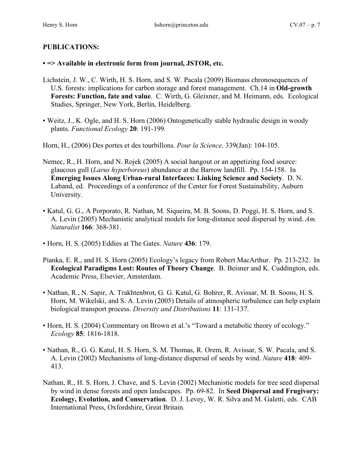## **PUBLICATIONS:**

#### **• => Available in electronic form from journal, JSTOR, etc.**

- Lichstein, J. W., C. Wirth, H. S. Horn, and S. W. Pacala (2009) Biomass chronosequences of U.S. forests: implications for carbon storage and forest management. Ch.14 in **Old-growth Forests: Function, fate and value**. C. Wirth, G. Gleixner, and M. Heimann, eds. Ecological Studies, Springer, New York, Berlin, Heidelberg.
- Weitz, J., K. Ogle, and H. S. Horn (2006) Ontogenetically stable hydraulic design in woody plants. *Functional Ecology* **20**: 191-199.

Horn, H., (2006) Des portes et des tourbillons. *Pour la Science*. 339(Jan): 104-105.

- Nemec, R., H. Horn, and N. Rojek (2005) A social hangout or an appetizing food source: glaucous gull (*Larus hyperboreus*) abundance at the Barrow landfill. Pp. 154-158. In **Emerging Issues Along Urban-rural Interfaces: Linking Science and Society**. D. N. Laband, ed. Proceedings of a conference of the Center for Forest Sustainability, Auburn University.
- Katul, G. G., A Porporato, R. Nathan, M. Siqueira, M. B. Soons, D. Poggi, H. S. Horn, and S. A. Levin (2005) Mechanistic analytical models for long-distance seed dispersal by wind. *Am. Naturalist* **166**: 368-381.
- Horn, H. S. (2005) Eddies at The Gates. *Nature* **436**: 179.
- Pianka, E. R., and H. S. Horn (2005) Ecology's legacy from Robert MacArthur. Pp. 213-232. In **Ecological Paradigms Lost: Routes of Theory Change**. B. Beisner and K. Cuddington, eds. Academic Press, Elsevier, Amsterdam.
- Nathan, R., N. Sapir, A. Trakhtenbrot, G. G. Katul, G. Bohrer, R. Avissar, M. B. Soons, H. S. Horn, M. Wikelski, and S. A. Levin (2005) Details of atmospheric turbulence can help explain biological transport process. *Diversity and Distributions* **11**: 131-137.
- Horn, H. S. (2004) Commentary on Brown et al.'s "Toward a metabolic theory of ecology." *Ecology* **85**: 1816-1818.
- Nathan, R., G. G. Katul, H. S. Horn, S. M. Thomas, R. Orem, R. Avissar, S. W. Pacala, and S. A. Levin (2002) Mechanisms of long-distance dispersal of seeds by wind. *Nature* **418**: 409- 413.
- Nathan, R., H. S. Horn, J. Chave, and S. Levin (2002) Mechanistic models for tree seed dispersal by wind in dense forests and open landscapes. Pp. 69-82. In **Seed Dispersal and Frugivory: Ecology, Evolution, and Conservation**. D. J. Levey, W. R. Silva and M. Galetti, eds. CAB International Press, Oxfordshire, Great Britain.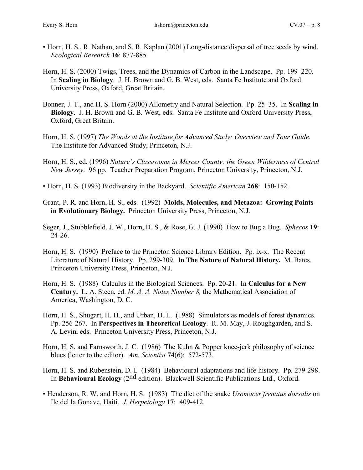- Horn, H. S., R. Nathan, and S. R. Kaplan (2001) Long-distance dispersal of tree seeds by wind. *Ecological Research* **16**: 877-885.
- Horn, H. S. (2000) Twigs, Trees, and the Dynamics of Carbon in the Landscape. Pp. 199–220. In **Scaling in Biology**. J. H. Brown and G. B. West, eds. Santa Fe Institute and Oxford University Press, Oxford, Great Britain.
- Bonner, J. T., and H. S. Horn (2000) Allometry and Natural Selection. Pp. 25–35. In **Scaling in Biology**. J. H. Brown and G. B. West, eds. Santa Fe Institute and Oxford University Press, Oxford, Great Britain.
- Horn, H. S. (1997) *The Woods at the Institute for Advanced Study: Overview and Tour Guide*. The Institute for Advanced Study, Princeton, N.J.
- Horn, H. S., ed. (1996) *Nature's Classrooms in Mercer County: the Green Wilderness of Central New Jersey*. 96 pp. Teacher Preparation Program, Princeton University, Princeton, N.J.
- Horn, H. S. (1993) Biodiversity in the Backyard. *Scientific American* **268**: 150-152.
- Grant, P. R. and Horn, H. S., eds. (1992) **Molds, Molecules, and Metazoa: Growing Points in Evolutionary Biology.** Princeton University Press, Princeton, N.J.
- Seger, J., Stubblefield, J. W., Horn, H. S., & Rose, G. J. (1990) How to Bug a Bug. *Sphecos* **19**: 24-26.
- Horn, H. S. (1990) Preface to the Princeton Science Library Edition. Pp. ix-x. The Recent Literature of Natural History. Pp. 299-309. In **The Nature of Natural History.** M. Bates. Princeton University Press, Princeton, N.J.
- Horn, H. S. (1988) Calculus in the Biological Sciences. Pp. 20-21. In **Calculus for a New Century.** L. A. Steen, ed. *M. A. A. Notes Number 8,* the Mathematical Association of America, Washington, D. C.
- Horn, H. S., Shugart, H. H., and Urban, D. L. (1988) Simulators as models of forest dynamics. Pp. 256-267. In **Perspectives in Theoretical Ecology**. R. M. May, J. Roughgarden, and S. A. Levin, eds. Princeton University Press, Princeton, N.J.
- Horn, H. S. and Farnsworth, J. C. (1986) The Kuhn & Popper knee-jerk philosophy of science blues (letter to the editor). *Am. Scientist* **74**(6): 572-573.
- Horn, H. S. and Rubenstein, D. I. (1984) Behavioural adaptations and life-history. Pp. 279-298. In **Behavioural Ecology** (2nd edition). Blackwell Scientific Publications Ltd., Oxford.
- Henderson, R. W. and Horn, H. S. (1983) The diet of the snake *Uromacer frenatus dorsalis* on Ile del la Gonave, Haiti. *J. Herpetology* **17**: 409-412.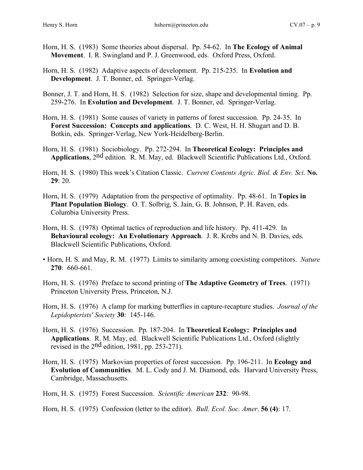- Horn, H. S. (1983) Some theories about dispersal. Pp. 54-62. In **The Ecology of Animal Movement**. I. R. Swingland and P. J. Greenwood, eds. Oxford Press, Oxford.
- Horn, H. S. (1982) Adaptive aspects of development. Pp. 215-235. In **Evolution and Development**. J. T. Bonner, ed. Springer-Verlag.
- Bonner, J. T. and Horn, H. S. (1982) Selection for size, shape and developmental timing. Pp. 259-276. In **Evolution and Development**. J. T. Bonner, ed. Springer-Verlag.
- Horn, H. S. (1981) Some causes of variety in patterns of forest succession. Pp. 24-35. In **Forest Succession: Concepts and applications**. D. C. West, H. H. Shugart and D. B. Botkin, eds. Springer-Verlag, New York-Heidelberg-Berlin.
- Horn, H. S. (1981) Sociobiology. Pp. 272-294. In **Theoretical Ecology: Principles and Applications**, 2nd edition. R. M. May, ed. Blackwell Scientific Publications Ltd., Oxford.
- Horn, H. S. (1980) This week's Citation Classic. *Current Contents Agric. Biol. & Env. Sci*. **No. 29**: 20.
- Horn, H. S. (1979) Adaptation from the perspective of optimality. Pp. 48-61. In **Topics in Plant Population Biology**. O. T. Solbrig, S. Jain, G. B. Johnson, P. H. Raven, eds. Columbia University Press.
- Horn, H. S. (1978) Optimal tactics of reproduction and life history. Pp. 411-429. In **Behavioural ecology: An Evolutionary Approach**. J. R. Krebs and N. B. Davies, eds. Blackwell Scientific Publications, Oxford.
- Horn, H. S. and May, R. M. (1977) Limits to similarity among coexisting competitors. *Nature* **270**: 660-661.
- Horn, H. S. (1976) Preface to second printing of **The Adaptive Geometry of Trees**. (1971) Princeton University Press, Princeton, N.J.
- Horn, H. S. (1976) A clamp for marking butterflies in capture-recapture studies. *Journal of the Lepidopterists' Society* **30**: 145-146.
- Horn, H. S. (1976) Succession. Pp. 187-204. In **Theoretical Ecology: Principles and Applications**. R. M. May, ed. Blackwell Scientific Publications Ltd., Oxford (slightly revised in the 2nd edition, 1981, pp. 253-271).
- Horn, H. S. (1975) Markovian properties of forest succession. Pp. 196-211. In **Ecology and Evolution of Communities**. M. L. Cody and J. M. Diamond, eds. Harvard University Press, Cambridge, Massachusetts.
- Horn, H. S. (1975) Forest Succession. *Scientific American* **232**: 90-98.
- Horn, H. S. (1975) Confession (letter to the editor). *Bull. Ecol. Soc. Amer*. **56 (4)**: 17.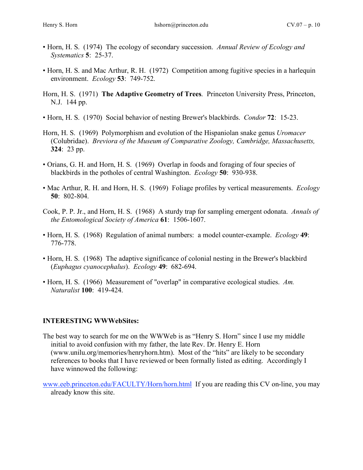- Horn, H. S. (1974) The ecology of secondary succession. *Annual Review of Ecology and Systematics* **5**: 25-37.
- Horn, H. S. and Mac Arthur, R. H. (1972) Competition among fugitive species in a harlequin environment. *Ecology* **53**: 749-752.
- Horn, H. S. (1971) **The Adaptive Geometry of Trees**. Princeton University Press, Princeton, N.J. 144 pp.
- Horn, H. S. (1970) Social behavior of nesting Brewer's blackbirds. *Condor* **72**: 15-23.
- Horn, H. S. (1969) Polymorphism and evolution of the Hispaniolan snake genus *Uromacer* (Colubridae). *Breviora of the Museum of Comparative Zoology, Cambridge, Massachusetts,* **324**: 23 pp.
- Orians, G. H. and Horn, H. S. (1969) Overlap in foods and foraging of four species of blackbirds in the potholes of central Washington. *Ecology* **50**: 930-938.
- Mac Arthur, R. H. and Horn, H. S. (1969) Foliage profiles by vertical measurements. *Ecology* **50**: 802-804.
- Cook, P. P. Jr., and Horn, H. S. (1968) A sturdy trap for sampling emergent odonata. *Annals of the Entomological Society of America* **61**: 1506-1607.
- Horn, H. S. (1968) Regulation of animal numbers: a model counter-example. *Ecology* **49**: 776-778.
- Horn, H. S. (1968) The adaptive significance of colonial nesting in the Brewer's blackbird (*Euphagus cyanocephalus*). *Ecology* **49**: 682-694.
- Horn, H. S. (1966) Measurement of "overlap" in comparative ecological studies. *Am. Naturalist* **100**: 419-424.

## **INTERESTING WWWebSites:**

- The best way to search for me on the WWWeb is as "Henry S. Horn" since I use my middle initial to avoid confusion with my father, the late Rev. Dr. Henry E. Horn (www.unilu.org/memories/henryhorn.htm). Most of the "hits" are likely to be secondary references to books that I have reviewed or been formally listed as editing. Accordingly I have winnowed the following:
- www.eeb.princeton.edu/FACULTY/Horn/horn.html If you are reading this CV on-line, you may already know this site.